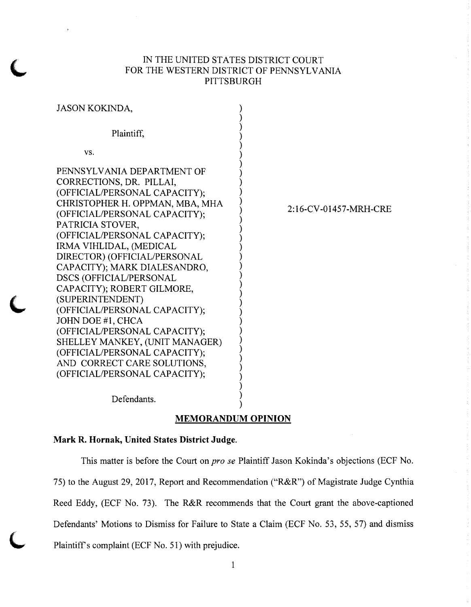## IN THE UNITED STATES DISTRICT COURT FOR THE WESTERN DISTRICT OF PENNSYLVANIA PITTSBURGH

| <b>JASON KOKINDA,</b>                                                                                                                                                                                                                                                                                                                                                                                                                                                                                                                                                                                              |                       |
|--------------------------------------------------------------------------------------------------------------------------------------------------------------------------------------------------------------------------------------------------------------------------------------------------------------------------------------------------------------------------------------------------------------------------------------------------------------------------------------------------------------------------------------------------------------------------------------------------------------------|-----------------------|
| Plaintiff,                                                                                                                                                                                                                                                                                                                                                                                                                                                                                                                                                                                                         |                       |
| VS.                                                                                                                                                                                                                                                                                                                                                                                                                                                                                                                                                                                                                |                       |
| PENNSYLVANIA DEPARTMENT OF<br>CORRECTIONS, DR. PILLAI,<br>(OFFICIAL/PERSONAL CAPACITY);<br>CHRISTOPHER H. OPPMAN, MBA, MHA<br>(OFFICIAL/PERSONAL CAPACITY);<br>PATRICIA STOVER,<br>(OFFICIAL/PERSONAL CAPACITY);<br>IRMA VIHLIDAL, (MEDICAL<br>DIRECTOR) (OFFICIAL/PERSONAL<br>CAPACITY); MARK DIALESANDRO,<br>DSCS (OFFICIAL/PERSONAL<br>CAPACITY); ROBERT GILMORE,<br>(SUPERINTENDENT)<br>(OFFICIAL/PERSONAL CAPACITY);<br>JOHN DOE #1, CHCA<br>(OFFICIAL/PERSONAL CAPACITY);<br>SHELLEY MANKEY, (UNIT MANAGER)<br>(OFFICIAL/PERSONAL CAPACITY);<br>AND CORRECT CARE SOLUTIONS,<br>(OFFICIAL/PERSONAL CAPACITY); | 2:16-CV-01457-MRH-CRE |
| Dofondonto                                                                                                                                                                                                                                                                                                                                                                                                                                                                                                                                                                                                         |                       |

Defendants.

## **MEMORANDUM OPINION**

 $\lambda$ 

## **Mark R. Hornak, United States District Judge.**

This matter is before the Court on *prose* Plaintiff Jason Kokinda's objections (ECF No. 75) to the August 29, 2017, Report and Recommendation ("R&R") of Magistrate Judge Cynthia Reed Eddy, (ECF No. 73). The R&R recommends that the Court grant the above-captioned Defendants' Motions to Dismiss for Failure to State a Claim (ECF No. 53, 55, 57) and dismiss Plaintiff's complaint (ECF No. 51) with prejudice.